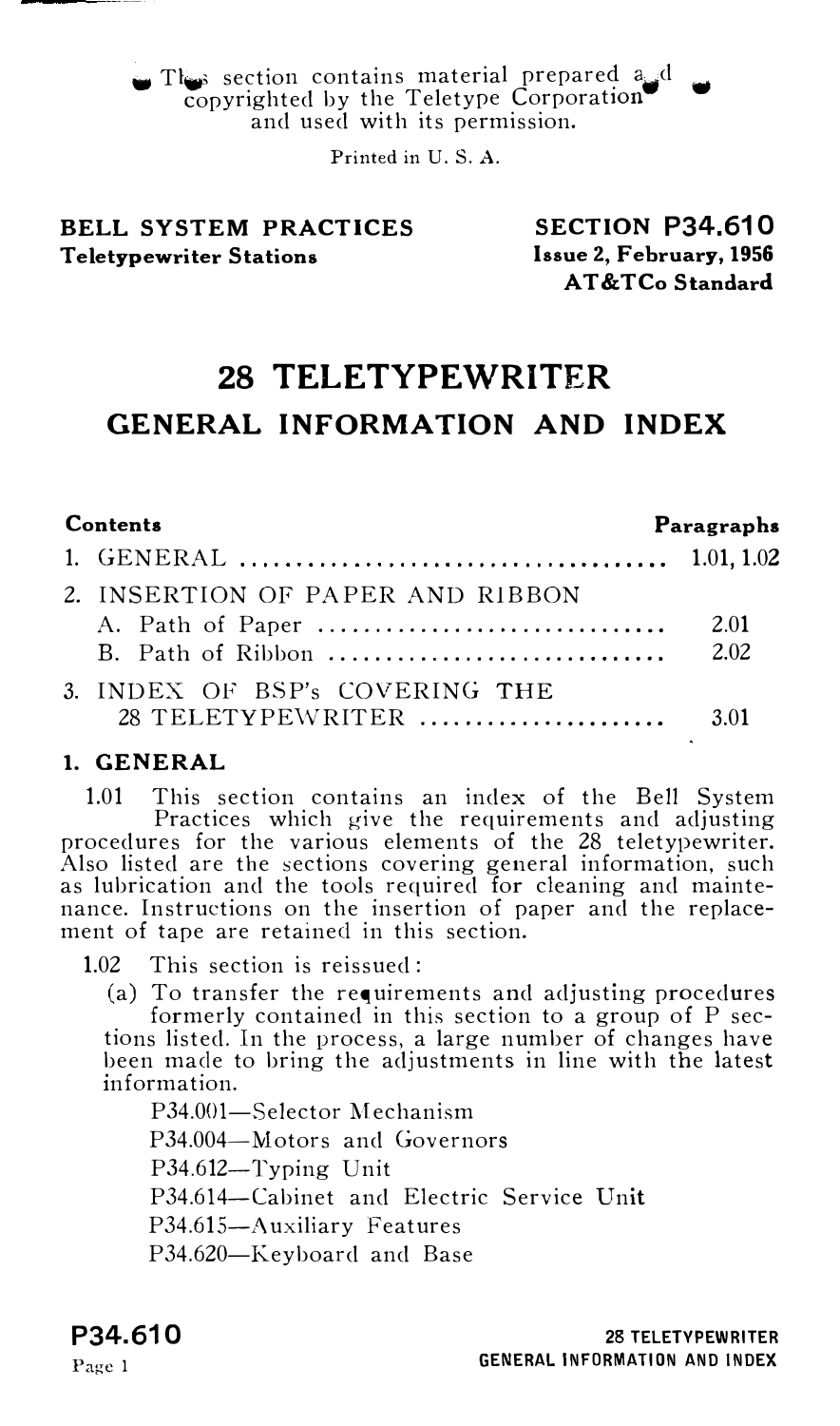WE section contains material prepared  $a_{i,j}d$  $\omega$  section contains material prepared a d<br>copyrighted by the Teletype Corporation<br>and used with its permission.

Printed in U.S. A.

# BELL SYSTEM PRACTICES Teletypewriter Stations

SECTION P34.610 Issue 2, February, 1956 AT&TCo Standard

# 28 TELETYPEWRITER GENERAL INFORMATION AND INDEX

| Contents |                                  | Paragraphs |  |
|----------|----------------------------------|------------|--|
|          |                                  |            |  |
|          | 2. INSERTION OF PAPER AND RIBBON |            |  |
|          |                                  | - 2.01     |  |
|          |                                  |            |  |
|          | 3. INDEX OF BSP's COVERING THE   |            |  |
|          | 28 TELETYPEWRITER                | 3.01       |  |

### 1. GENERAL

1.01 This section contains an index of the Bell System Practices which give the requirements and adjusting procedures for the various elements of the 28 teletypewriter. Also listed are the sections covering general information, such as lubrication and the tools required for cleaning and maintenance. Instructions on the insertion of paper and the replacement of tape are retained in this section.

1.02 This section is reissued:

(a) To transfer the requirements and adjusting procedures formerly contained in this section to a group of P sections listed. In the process, a large number of changes have been made to bring the adjustments in line with the latest information.

P34.001-Selector Mechanism P34.004-Motors and Governors P34.612-Typing Unit P34.614-Cabinet and Electric Service Unit P34.615-A uxiliary Features P34.620-Keyboard and Base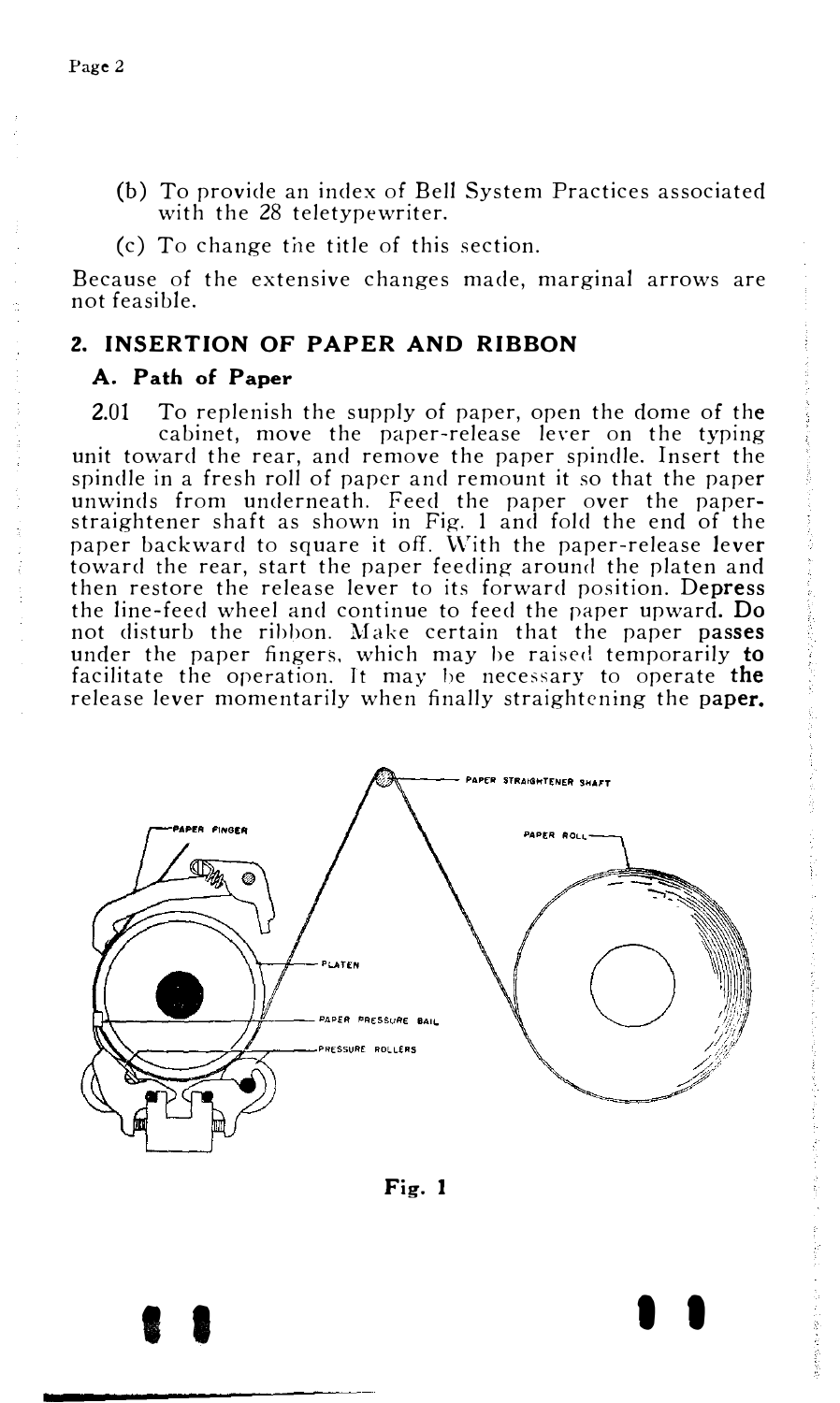(b) To provide an index of Bell System Practices associated with the 28 teletypewriter.

 $(c)$  To change the title of this section.

Because of the extensive changes made, marginal arrows are not feasible.

## 2. INSERTION OF PAPER AND RIBBON

## A. Path of Paper

2.01 To replenish the supply of paper, open the dome of the cabinet, move the paper-release lever on the typing unit toward the rear, and remove the paper spindle. Insert the spindle in a fresh roll of paper and remount it so that the paper unwinds from underneath. Feed the paper over the paper-straightener shaft as shown in Fig. I and fold the end of the paper backward to square it off. With the paper-release lever toward the rear, start the paper feeding around the platen and then restore the release lever to its forward position. Depress the line-feed wheel and continue to feed the paper upward. Do not disturb the ribbon. Make certain that the paper passes under the paper fingers, which may be raised temporarily to facilitate the operation. It may be necessary to operate the release lever momentarily when finally straightening the paper.





I I I I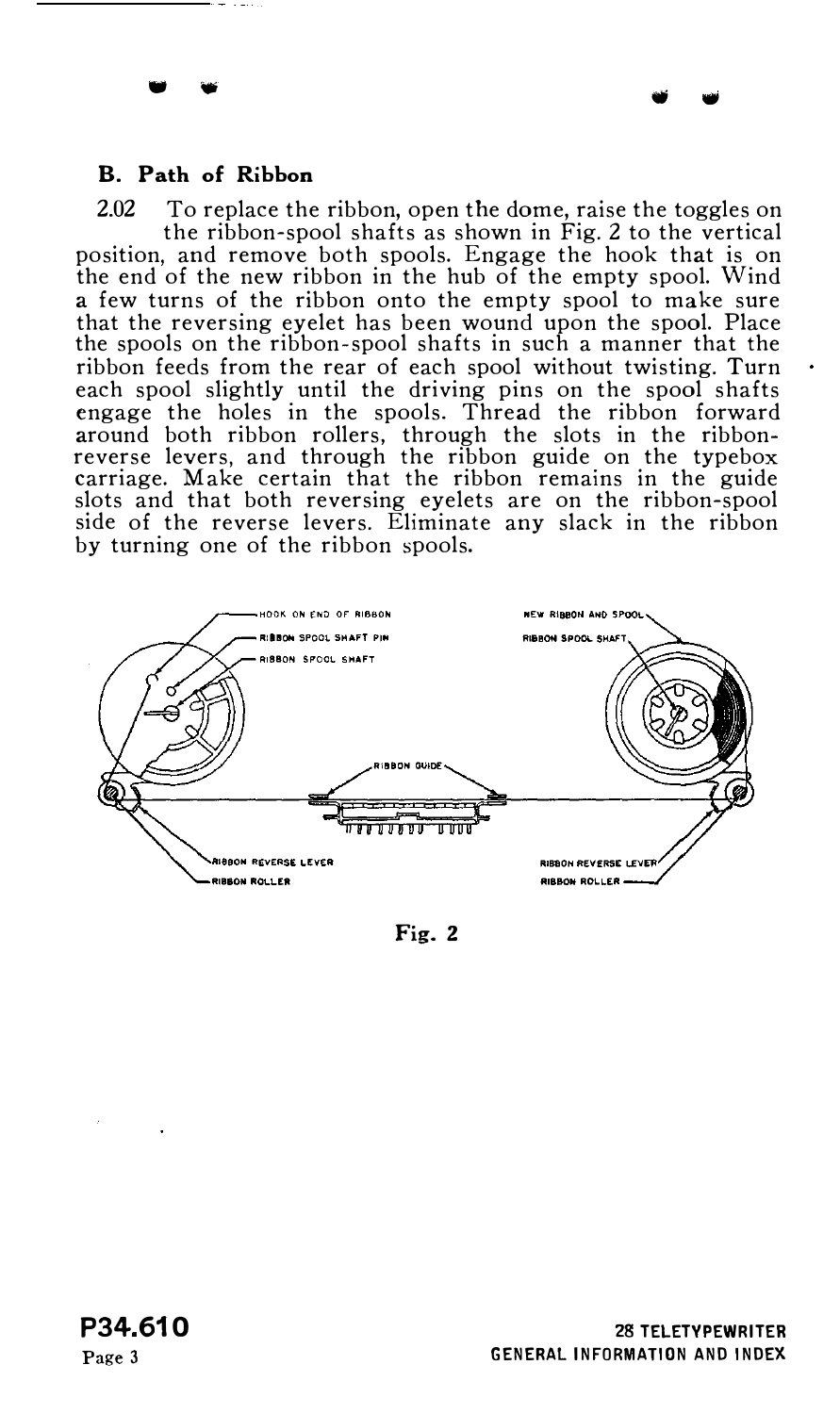## B. Path of Ribbon

• •

2.02 To replace the ribbon, open the dome, raise the toggles on the ribbon-spool shafts as shown in Fig. 2 to the vertical position, and remove both spools. Engage the hook that is on the end of the new ribbon in the hub of the empty spool. Wind a few turns of the ribbon onto the empty spool to make sure that the reversing eyelet has been wound upon the spool. Place the spools on the ribbon-spool shafts in such a manner that the ribbon feeds from the rear of each spool without twisting. Turn each spool slightly until the driving pins on the spool shafts engage the holes in the spools. Thread the ribbon forward around both ribbon rollers, through the slots in the ribbon-reverse levers, and through the ribbon guide on the typebox carriage. Make certain that the ribbon remains in the guide slots and that both reversing eyelets are on the ribbon-spool side of the reverse levers. Eliminate any slack in the ribbon by turning one of the ribbon spools.



Fig. 2

• •